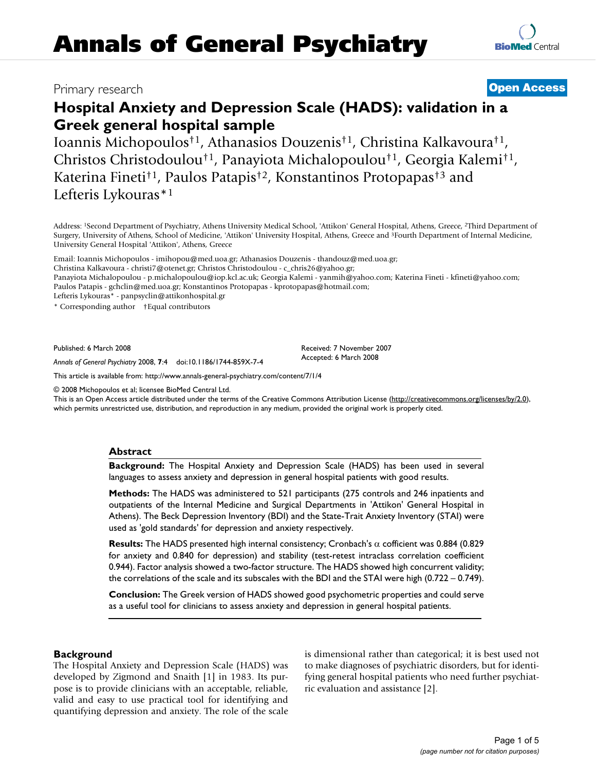## Primary research **[Open Access](http://www.biomedcentral.com/info/about/charter/)**

# **Hospital Anxiety and Depression Scale (HADS): validation in a Greek general hospital sample**

Ioannis Michopoulos†1, Athanasios Douzenis†1, Christina Kalkavoura†1, Christos Christodoulou†1, Panayiota Michalopoulou†1, Georgia Kalemi†1, Katerina Fineti†1, Paulos Patapis†2, Konstantinos Protopapas†3 and Lefteris Lykouras\*1

Address: 1Second Department of Psychiatry, Athens University Medical School, 'Attikon' General Hospital, Athens, Greece, 2Third Department of Surgery, University of Athens, School of Medicine, 'Attikon' University Hospital, Athens, Greece and 3Fourth Department of Internal Medicine, University General Hospital 'Attikon', Athens, Greece

Email: Ioannis Michopoulos - imihopou@med.uoa.gr; Athanasios Douzenis - thandouz@med.uoa.gr;

Christina Kalkavoura - christi7@otenet.gr; Christos Christodoulou - c\_chris26@yahoo.gr;

Panayiota Michalopoulou - p.michalopoulou@iop.kcl.ac.uk; Georgia Kalemi - yanmih@yahoo.com; Katerina Fineti - kfineti@yahoo.com; Paulos Patapis - gchclin@med.uoa.gr; Konstantinos Protopapas - kprotopapas@hotmail.com;

Lefteris Lykouras\* - panpsyclin@attikonhospital.gr

\* Corresponding author †Equal contributors

Published: 6 March 2008

*Annals of General Psychiatry* 2008, **7**:4 doi:10.1186/1744-859X-7-4

[This article is available from: http://www.annals-general-psychiatry.com/content/7/1/4](http://www.annals-general-psychiatry.com/content/7/1/4)

© 2008 Michopoulos et al; licensee BioMed Central Ltd.

This is an Open Access article distributed under the terms of the Creative Commons Attribution License [\(http://creativecommons.org/licenses/by/2.0\)](http://creativecommons.org/licenses/by/2.0), which permits unrestricted use, distribution, and reproduction in any medium, provided the original work is properly cited.

#### **Abstract**

**Background:** The Hospital Anxiety and Depression Scale (HADS) has been used in several languages to assess anxiety and depression in general hospital patients with good results.

**Methods:** The HADS was administered to 521 participants (275 controls and 246 inpatients and outpatients of the Internal Medicine and Surgical Departments in 'Attikon' General Hospital in Athens). The Beck Depression Inventory (BDI) and the State-Trait Anxiety Inventory (STAI) were used as 'gold standards' for depression and anxiety respectively.

**Results:** The HADS presented high internal consistency; Cronbach's α cofficient was 0.884 (0.829 for anxiety and 0.840 for depression) and stability (test-retest intraclass correlation coefficient 0.944). Factor analysis showed a two-factor structure. The HADS showed high concurrent validity; the correlations of the scale and its subscales with the BDI and the STAI were high (0.722 – 0.749).

**Conclusion:** The Greek version of HADS showed good psychometric properties and could serve as a useful tool for clinicians to assess anxiety and depression in general hospital patients.

## **Background**

The Hospital Anxiety and Depression Scale (HADS) was developed by Zigmond and Snaith [1] in 1983. Its purpose is to provide clinicians with an acceptable, reliable, valid and easy to use practical tool for identifying and quantifying depression and anxiety. The role of the scale is dimensional rather than categorical; it is best used not to make diagnoses of psychiatric disorders, but for identifying general hospital patients who need further psychiatric evaluation and assistance [2].



Received: 7 November 2007 Accepted: 6 March 2008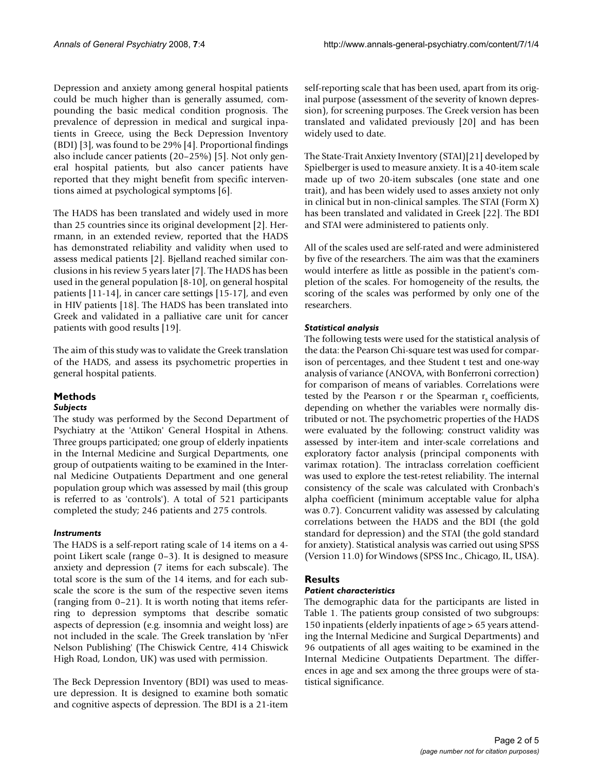Depression and anxiety among general hospital patients could be much higher than is generally assumed, compounding the basic medical condition prognosis. The prevalence of depression in medical and surgical inpatients in Greece, using the Beck Depression Inventory (BDI) [3], was found to be 29% [4]. Proportional findings also include cancer patients (20–25%) [5]. Not only general hospital patients, but also cancer patients have reported that they might benefit from specific interventions aimed at psychological symptoms [6].

The HADS has been translated and widely used in more than 25 countries since its original development [2]. Herrmann, in an extended review, reported that the HADS has demonstrated reliability and validity when used to assess medical patients [2]. Bjelland reached similar conclusions in his review 5 years later [7]. The HADS has been used in the general population [8-10], on general hospital patients [11-14], in cancer care settings [15-17], and even in HIV patients [18]. The HADS has been translated into Greek and validated in a palliative care unit for cancer patients with good results [19].

The aim of this study was to validate the Greek translation of the HADS, and assess its psychometric properties in general hospital patients.

## **Methods**

## *Subjects*

The study was performed by the Second Department of Psychiatry at the 'Attikon' General Hospital in Athens. Three groups participated; one group of elderly inpatients in the Internal Medicine and Surgical Departments, one group of outpatients waiting to be examined in the Internal Medicine Outpatients Department and one general population group which was assessed by mail (this group is referred to as 'controls'). A total of 521 participants completed the study; 246 patients and 275 controls.

## *Instruments*

The HADS is a self-report rating scale of 14 items on a 4 point Likert scale (range 0–3). It is designed to measure anxiety and depression (7 items for each subscale). The total score is the sum of the 14 items, and for each subscale the score is the sum of the respective seven items (ranging from 0–21). It is worth noting that items referring to depression symptoms that describe somatic aspects of depression (e.g. insomnia and weight loss) are not included in the scale. The Greek translation by 'nFer Nelson Publishing' (The Chiswick Centre, 414 Chiswick High Road, London, UK) was used with permission.

The Beck Depression Inventory (BDI) was used to measure depression. It is designed to examine both somatic and cognitive aspects of depression. The BDI is a 21-item

self-reporting scale that has been used, apart from its original purpose (assessment of the severity of known depression), for screening purposes. The Greek version has been translated and validated previously [20] and has been widely used to date.

The State-Trait Anxiety Inventory (STAI)[21] developed by Spielberger is used to measure anxiety. It is a 40-item scale made up of two 20-item subscales (one state and one trait), and has been widely used to asses anxiety not only in clinical but in non-clinical samples. The STAI (Form X) has been translated and validated in Greek [22]. The BDI and STAI were administered to patients only.

All of the scales used are self-rated and were administered by five of the researchers. The aim was that the examiners would interfere as little as possible in the patient's completion of the scales. For homogeneity of the results, the scoring of the scales was performed by only one of the researchers.

## *Statistical analysis*

The following tests were used for the statistical analysis of the data: the Pearson Chi-square test was used for comparison of percentages, and thee Student t test and one-way analysis of variance (ANOVA, with Bonferroni correction) for comparison of means of variables. Correlations were tested by the Pearson  $r$  or the Spearman  $r_s$  coefficients, depending on whether the variables were normally distributed or not. The psychometric properties of the HADS were evaluated by the following: construct validity was assessed by inter-item and inter-scale correlations and exploratory factor analysis (principal components with varimax rotation). The intraclass correlation coefficient was used to explore the test-retest reliability. The internal consistency of the scale was calculated with Cronbach's alpha coefficient (minimum acceptable value for alpha was 0.7). Concurrent validity was assessed by calculating correlations between the HADS and the BDI (the gold standard for depression) and the STAI (the gold standard for anxiety). Statistical analysis was carried out using SPSS (Version 11.0) for Windows (SPSS Inc., Chicago, IL, USA).

## **Results**

## *Patient characteristics*

The demographic data for the participants are listed in Table 1. The patients group consisted of two subgroups: 150 inpatients (elderly inpatients of age > 65 years attending the Internal Medicine and Surgical Departments) and 96 outpatients of all ages waiting to be examined in the Internal Medicine Outpatients Department. The differences in age and sex among the three groups were of statistical significance.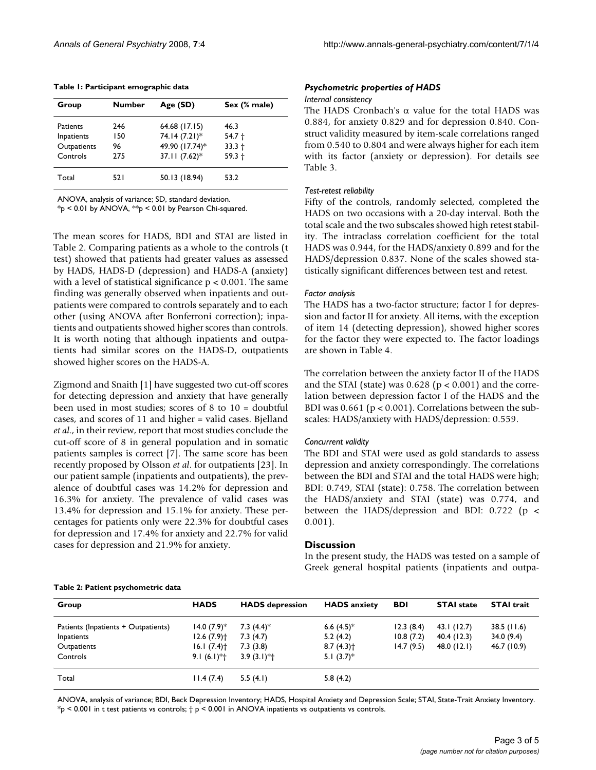|  |  |  | Table 1: Participant emographic data |  |
|--|--|--|--------------------------------------|--|
|--|--|--|--------------------------------------|--|

| Group           | <b>Number</b> | Age (SD)        | Sex (% male) |
|-----------------|---------------|-----------------|--------------|
| <b>Patients</b> | 246           | 64.68 (17.15)   | 46.3         |
| Inpatients      | 150           | 74.14 (7.21)*   | $54.7 +$     |
| Outpatients     | 96            | 49.90 (17.74)*  | $33.3 +$     |
| Controls        | 275           | $37.11(7.62)$ * | $59.3 +$     |
| Total           | 521           | 50.13 (18.94)   | 53.2         |

ANOVA, analysis of variance; SD, standard deviation.

 $*_{p}$  < 0.01 by ANOVA,  $*_{p}$  < 0.01 by Pearson Chi-squared.

The mean scores for HADS, BDI and STAI are listed in Table 2. Comparing patients as a whole to the controls (t test) showed that patients had greater values as assessed by HADS, HADS-D (depression) and HADS-A (anxiety) with a level of statistical significance  $p < 0.001$ . The same finding was generally observed when inpatients and outpatients were compared to controls separately and to each other (using ANOVA after Bonferroni correction); inpatients and outpatients showed higher scores than controls. It is worth noting that although inpatients and outpatients had similar scores on the HADS-D, outpatients showed higher scores on the HADS-A.

Zigmond and Snaith [1] have suggested two cut-off scores for detecting depression and anxiety that have generally been used in most studies; scores of 8 to 10 = doubtful cases, and scores of 11 and higher = valid cases. Bjelland *et al*., in their review, report that most studies conclude the cut-off score of 8 in general population and in somatic patients samples is correct [7]. The same score has been recently proposed by Olsson *et al*. for outpatients [23]. In our patient sample (inpatients and outpatients), the prevalence of doubtful cases was 14.2% for depression and 16.3% for anxiety. The prevalence of valid cases was 13.4% for depression and 15.1% for anxiety. These percentages for patients only were 22.3% for doubtful cases for depression and 17.4% for anxiety and 22.7% for valid cases for depression and 21.9% for anxiety.

#### *Psychometric properties of HADS*

#### *Internal consistency*

The HADS Cronbach's α value for the total HADS was 0.884, for anxiety 0.829 and for depression 0.840. Construct validity measured by item-scale correlations ranged from 0.540 to 0.804 and were always higher for each item with its factor (anxiety or depression). For details see Table 3.

#### *Test-retest reliability*

Fifty of the controls, randomly selected, completed the HADS on two occasions with a 20-day interval. Both the total scale and the two subscales showed high retest stability. The intraclass correlation coefficient for the total HADS was 0.944, for the HADS/anxiety 0.899 and for the HADS/depression 0.837. None of the scales showed statistically significant differences between test and retest.

#### *Factor analysis*

The HADS has a two-factor structure; factor I for depression and factor II for anxiety. All items, with the exception of item 14 (detecting depression), showed higher scores for the factor they were expected to. The factor loadings are shown in Table 4.

The correlation between the anxiety factor II of the HADS and the STAI (state) was  $0.628$  ( $p < 0.001$ ) and the correlation between depression factor I of the HADS and the BDI was  $0.661$  ( $p < 0.001$ ). Correlations between the subscales: HADS/anxiety with HADS/depression: 0.559.

#### *Concurrent validity*

The BDI and STAI were used as gold standards to assess depression and anxiety correspondingly. The correlations between the BDI and STAI and the total HADS were high; BDI: 0.749, STAI (state): 0.758. The correlation between the HADS/anxiety and STAI (state) was 0.774, and between the HADS/depression and BDI: 0.722 (p < 0.001).

#### **Discussion**

In the present study, the HADS was tested on a sample of Greek general hospital patients (inpatients and outpa-

## **Table 2: Patient psychometric data**

| Group                               | <b>HADS</b>              | <b>HADS</b> depression   | <b>HADS</b> anxiety      | <b>BDI</b> | <b>STAI</b> state | <b>STAI trait</b> |
|-------------------------------------|--------------------------|--------------------------|--------------------------|------------|-------------------|-------------------|
| Patients (Inpatients + Outpatients) | $14.0 (7.9)$ *           | 7.3 $(4.4)$ <sup>*</sup> | 6.6 $(4.5)$ <sup>*</sup> | 12.3(8.4)  | 43.1(12.7)        | 38.5(11.6)        |
| Inpatients                          | $12.6(7.9)$ <sup>+</sup> | 7.3(4.7)                 | 5.2(4.2)                 | 10.8(7.2)  | 40.4 (12.3)       | 34.0(9.4)         |
| Outpatients                         | $16.1(7.4)$ <sup>+</sup> | 7.3(3.8)                 | $8.7(4.3)$ <sup>+</sup>  | 14.7(9.5)  | 48.0(12.1)        | 46.7 (10.9)       |
| Controls                            | $9.1(6.1)*+$             | $3.9(3.1)*+$             | 5.1 $(3.7)$ <sup>*</sup> |            |                   |                   |
| Total                               | 11.4(7.4)                | 5.5(4.1)                 | 5.8(4.2)                 |            |                   |                   |

ANOVA, analysis of variance; BDI, Beck Depression Inventory; HADS, Hospital Anxiety and Depression Scale; STAI, State-Trait Anxiety Inventory.  $*_{p}$  < 0.001 in t test patients vs controls;  $\dagger$  p < 0.001 in ANOVA inpatients vs outpatients vs controls.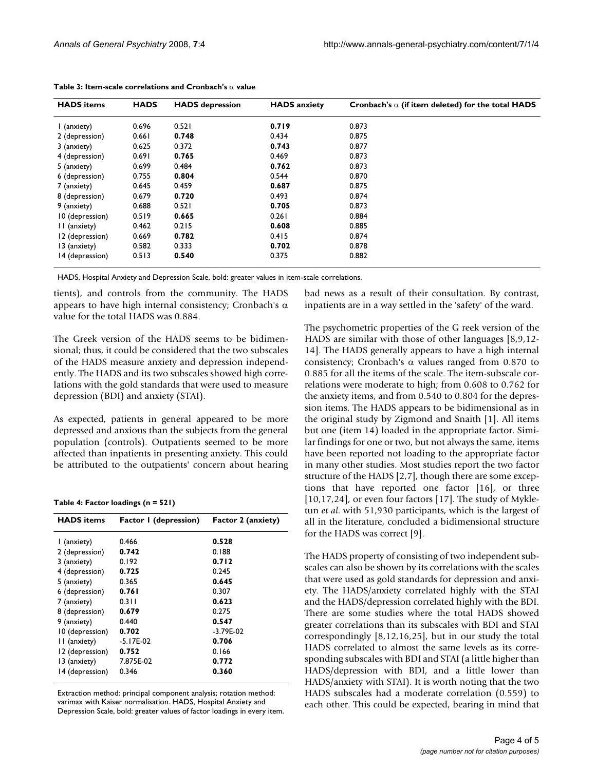| <b>HADS</b> items | <b>HADS</b> | <b>HADS</b> depression | <b>HADS</b> anxiety | Cronbach's $\alpha$ (if item deleted) for the total HADS |
|-------------------|-------------|------------------------|---------------------|----------------------------------------------------------|
| I (anxiety)       | 0.696       | 0.521                  | 0.719               | 0.873                                                    |
| 2 (depression)    | 0.661       | 0.748                  | 0.434               | 0.875                                                    |
| 3 (anxiety)       | 0.625       | 0.372                  | 0.743               | 0.877                                                    |
| 4 (depression)    | 0.691       | 0.765                  | 0.469               | 0.873                                                    |
| 5 (anxiety)       | 0.699       | 0.484                  | 0.762               | 0.873                                                    |
| 6 (depression)    | 0.755       | 0.804                  | 0.544               | 0.870                                                    |
| 7 (anxiety)       | 0.645       | 0.459                  | 0.687               | 0.875                                                    |
| 8 (depression)    | 0.679       | 0.720                  | 0.493               | 0.874                                                    |
| 9 (anxiety)       | 0.688       | 0.521                  | 0.705               | 0.873                                                    |
| 10 (depression)   | 0.519       | 0.665                  | 0.261               | 0.884                                                    |
| II (anxiety)      | 0.462       | 0.215                  | 0.608               | 0.885                                                    |
| 12 (depression)   | 0.669       | 0.782                  | 0.415               | 0.874                                                    |
| 13 (anxiety)      | 0.582       | 0.333                  | 0.702               | 0.878                                                    |
| 14 (depression)   | 0.513       | 0.540                  | 0.375               | 0.882                                                    |

HADS, Hospital Anxiety and Depression Scale, bold: greater values in item-scale correlations.

tients), and controls from the community. The HADS appears to have high internal consistency; Cronbach's  $\alpha$ value for the total HADS was 0.884.

The Greek version of the HADS seems to be bidimensional; thus, it could be considered that the two subscales of the HADS measure anxiety and depression independently. The HADS and its two subscales showed high correlations with the gold standards that were used to measure depression (BDI) and anxiety (STAI).

As expected, patients in general appeared to be more depressed and anxious than the subjects from the general population (controls). Outpatients seemed to be more affected than inpatients in presenting anxiety. This could be attributed to the outpatients' concern about hearing

#### **Table 4: Factor loadings (n = 521)**

| <b>HADS</b> items | <b>Factor I</b> (depression) | Factor 2 (anxiety) |
|-------------------|------------------------------|--------------------|
| l (anxiety)       | 0.466                        | 0.528              |
| 2 (depression)    | 0.742                        | 0.188              |
| 3 (anxiety)       | 0.192                        | 0.712              |
| 4 (depression)    | 0.725                        | 0.245              |
| 5 (anxiety)       | 0.365                        | 0.645              |
| 6 (depression)    | 0.761                        | 0.307              |
| 7 (anxiety)       | 0.311                        | 0.623              |
| 8 (depression)    | 0.679                        | 0.275              |
| 9 (anxiety)       | 0.440                        | 0.547              |
| 10 (depression)   | 0.702                        | $-3.79E - 02$      |
| II (anxiety)      | $-5.17E-02$                  | 0.706              |
| 12 (depression)   | 0.752                        | 0.166              |
| 13 (anxiety)      | 7.875E-02                    | 0.772              |
| 14 (depression)   | 0.346                        | 0.360              |

Extraction method: principal component analysis; rotation method: varimax with Kaiser normalisation. HADS, Hospital Anxiety and Depression Scale, bold: greater values of factor loadings in every item. bad news as a result of their consultation. By contrast, inpatients are in a way settled in the 'safety' of the ward.

The psychometric properties of the G reek version of the HADS are similar with those of other languages [8,9,12- 14]. The HADS generally appears to have a high internal consistency; Cronbach's  $\alpha$  values ranged from 0.870 to 0.885 for all the items of the scale. The item-subscale correlations were moderate to high; from 0.608 to 0.762 for the anxiety items, and from 0.540 to 0.804 for the depression items. The HADS appears to be bidimensional as in the original study by Zigmond and Snaith [1]. All items but one (item 14) loaded in the appropriate factor. Similar findings for one or two, but not always the same, items have been reported not loading to the appropriate factor in many other studies. Most studies report the two factor structure of the HADS [2,7], though there are some exceptions that have reported one factor [16], or three [10,17,24], or even four factors [17]. The study of Mykletun *et al*. with 51,930 participants, which is the largest of all in the literature, concluded a bidimensional structure for the HADS was correct [9].

The HADS property of consisting of two independent subscales can also be shown by its correlations with the scales that were used as gold standards for depression and anxiety. The HADS/anxiety correlated highly with the STAI and the HADS/depression correlated highly with the BDI. There are some studies where the total HADS showed greater correlations than its subscales with BDI and STAI correspondingly [8,12,16,25], but in our study the total HADS correlated to almost the same levels as its corresponding subscales with BDI and STAI (a little higher than HADS/depression with BDI, and a little lower than HADS/anxiety with STAI). It is worth noting that the two HADS subscales had a moderate correlation (0.559) to each other. This could be expected, bearing in mind that